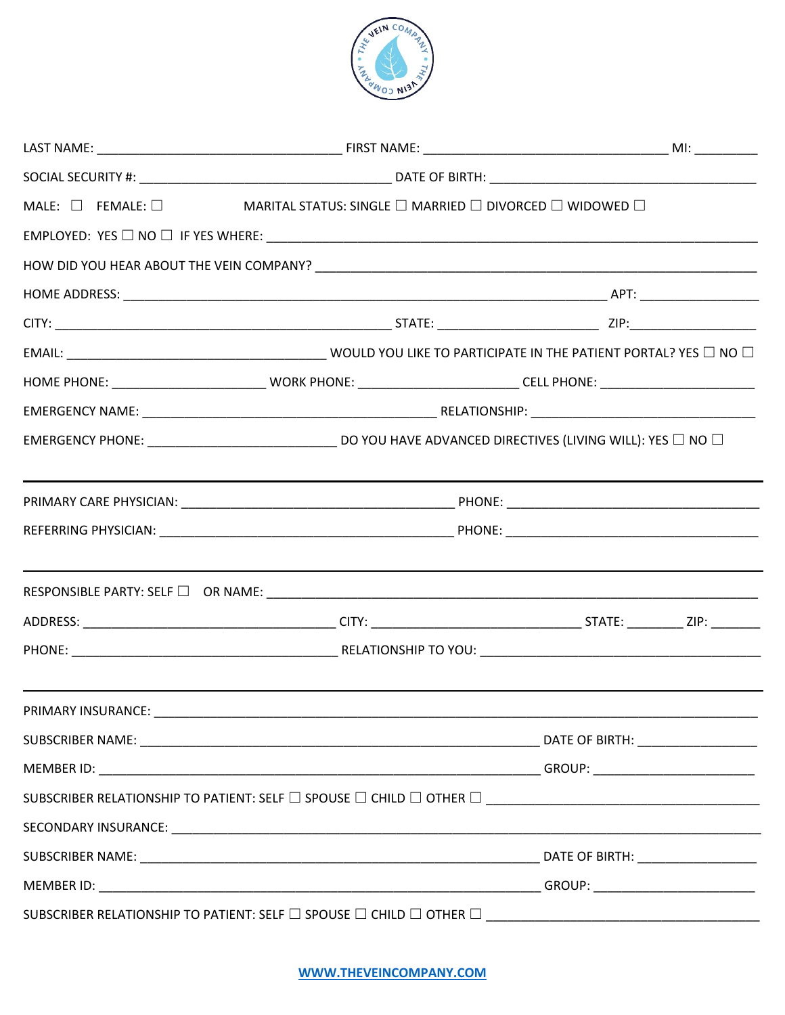

|                                                                                                                      | MALE: $\Box$ FEMALE: $\Box$ MARITAL STATUS: SINGLE $\Box$ MARRIED $\Box$ DIVORCED $\Box$ WIDOWED $\Box$                 |  |  |  |
|----------------------------------------------------------------------------------------------------------------------|-------------------------------------------------------------------------------------------------------------------------|--|--|--|
|                                                                                                                      | $EMPLOYED: \; Yes \; \Box \; NO \; \Box \; IF \; Yes \; WHERE: \; \underline{\hspace{2cm}}$                             |  |  |  |
|                                                                                                                      |                                                                                                                         |  |  |  |
|                                                                                                                      |                                                                                                                         |  |  |  |
|                                                                                                                      |                                                                                                                         |  |  |  |
|                                                                                                                      |                                                                                                                         |  |  |  |
|                                                                                                                      |                                                                                                                         |  |  |  |
|                                                                                                                      |                                                                                                                         |  |  |  |
|                                                                                                                      | EMERGENCY PHONE: __________________________________ DO YOU HAVE ADVANCED DIRECTIVES (LIVING WILL): YES $\Box$ NO $\Box$ |  |  |  |
| <u> 1989 - Johann Stoff, amerikansk politiker (d. 1989)</u>                                                          |                                                                                                                         |  |  |  |
|                                                                                                                      |                                                                                                                         |  |  |  |
| <u> 1989 - Johann Stein, marwolaethau a bhann an t-Amhair an t-Amhair an t-Amhair an t-Amhair an t-Amhair an t-A</u> |                                                                                                                         |  |  |  |
|                                                                                                                      |                                                                                                                         |  |  |  |
|                                                                                                                      |                                                                                                                         |  |  |  |
| PRIMARY INSURANCE:                                                                                                   |                                                                                                                         |  |  |  |
|                                                                                                                      |                                                                                                                         |  |  |  |
|                                                                                                                      |                                                                                                                         |  |  |  |
|                                                                                                                      |                                                                                                                         |  |  |  |
|                                                                                                                      |                                                                                                                         |  |  |  |
|                                                                                                                      |                                                                                                                         |  |  |  |
|                                                                                                                      |                                                                                                                         |  |  |  |
|                                                                                                                      |                                                                                                                         |  |  |  |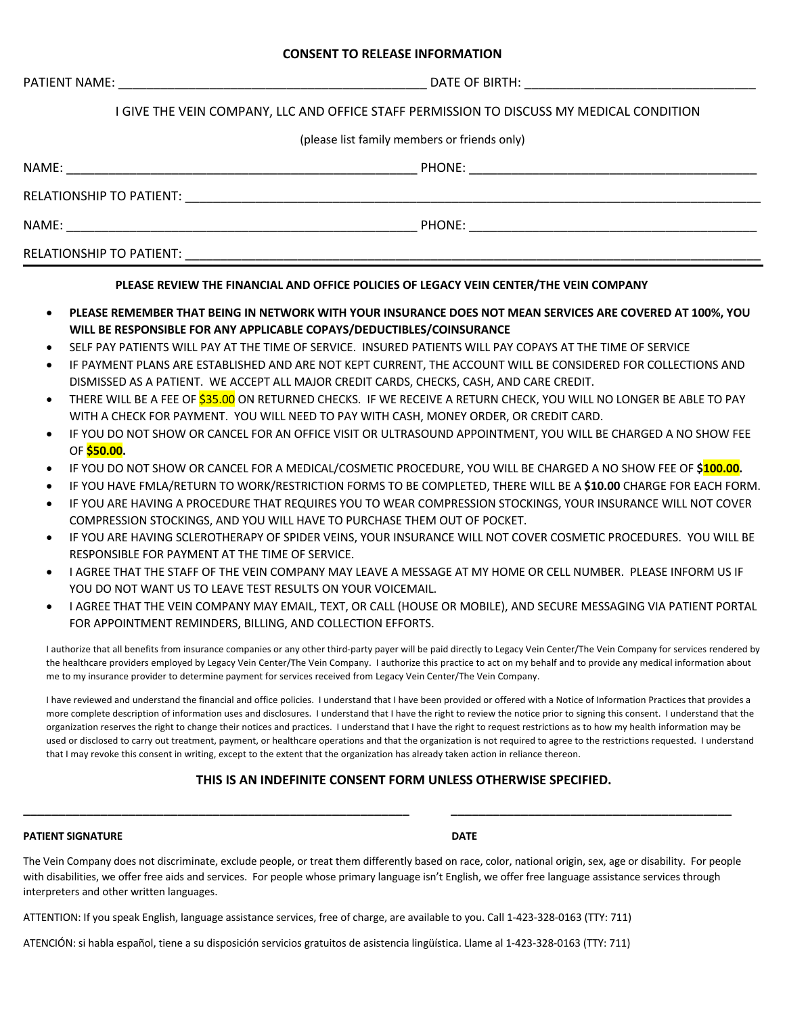#### **CONSENT TO RELEASE INFORMATION**

|  | <b>PATIENT NAME:</b> |
|--|----------------------|
|  |                      |

PATIENT NAME: \_\_\_\_\_\_\_\_\_\_\_\_\_\_\_\_\_\_\_\_\_\_\_\_\_\_\_\_\_\_\_\_\_\_\_\_\_\_\_\_\_\_\_\_ DATE OF BIRTH: \_\_\_\_\_\_\_\_\_\_\_\_\_\_\_\_\_\_\_\_\_\_\_\_\_\_\_\_\_\_\_\_\_

## I GIVE THE VEIN COMPANY, LLC AND OFFICE STAFF PERMISSION TO DISCUSS MY MEDICAL CONDITION

(please list family members or friends only)

| NAME:                    | PHONE: |  |
|--------------------------|--------|--|
| RELATIONSHIP TO PATIENT: |        |  |
| NAME:                    | PHONE: |  |
| RELATIONSHIP TO PATIENT: |        |  |

#### **PLEASE REVIEW THE FINANCIAL AND OFFICE POLICIES OF LEGACY VEIN CENTER/THE VEIN COMPANY**

- **PLEASE REMEMBER THAT BEING IN NETWORK WITH YOUR INSURANCE DOES NOT MEAN SERVICES ARE COVERED AT 100%, YOU WILL BE RESPONSIBLE FOR ANY APPLICABLE COPAYS/DEDUCTIBLES/COINSURANCE**
- SELF PAY PATIENTS WILL PAY AT THE TIME OF SERVICE. INSURED PATIENTS WILL PAY COPAYS AT THE TIME OF SERVICE
- IF PAYMENT PLANS ARE ESTABLISHED AND ARE NOT KEPT CURRENT, THE ACCOUNT WILL BE CONSIDERED FOR COLLECTIONS AND DISMISSED AS A PATIENT. WE ACCEPT ALL MAJOR CREDIT CARDS, CHECKS, CASH, AND CARE CREDIT.
- THERE WILL BE A FEE OF <mark>\$35.00</mark> ON RETURNED CHECKS. IF WE RECEIVE A RETURN CHECK. YOU WILL NO LONGER BE ABLE TO PAY WITH A CHECK FOR PAYMENT. YOU WILL NEED TO PAY WITH CASH, MONEY ORDER, OR CREDIT CARD.
- IF YOU DO NOT SHOW OR CANCEL FOR AN OFFICE VISIT OR ULTRASOUND APPOINTMENT, YOU WILL BE CHARGED A NO SHOW FEE OF **\$50.00.**
- IF YOU DO NOT SHOW OR CANCEL FOR A MEDICAL/COSMETIC PROCEDURE, YOU WILL BE CHARGED A NO SHOW FEE OF **\$100.00.**
- IF YOU HAVE FMLA/RETURN TO WORK/RESTRICTION FORMS TO BE COMPLETED, THERE WILL BE A **\$10.00** CHARGE FOR EACH FORM.
- IF YOU ARE HAVING A PROCEDURE THAT REQUIRES YOU TO WEAR COMPRESSION STOCKINGS, YOUR INSURANCE WILL NOT COVER COMPRESSION STOCKINGS, AND YOU WILL HAVE TO PURCHASE THEM OUT OF POCKET.
- IF YOU ARE HAVING SCLEROTHERAPY OF SPIDER VEINS, YOUR INSURANCE WILL NOT COVER COSMETIC PROCEDURES. YOU WILL BE RESPONSIBLE FOR PAYMENT AT THE TIME OF SERVICE.
- I AGREE THAT THE STAFF OF THE VEIN COMPANY MAY LEAVE A MESSAGE AT MY HOME OR CELL NUMBER. PLEASE INFORM US IF YOU DO NOT WANT US TO LEAVE TEST RESULTS ON YOUR VOICEMAIL.
- I AGREE THAT THE VEIN COMPANY MAY EMAIL, TEXT, OR CALL (HOUSE OR MOBILE), AND SECURE MESSAGING VIA PATIENT PORTAL FOR APPOINTMENT REMINDERS, BILLING, AND COLLECTION EFFORTS.

I authorize that all benefits from insurance companies or any other third-party payer will be paid directly to Legacy Vein Center/The Vein Company for services rendered by the healthcare providers employed by Legacy Vein Center/The Vein Company. I authorize this practice to act on my behalf and to provide any medical information about me to my insurance provider to determine payment for services received from Legacy Vein Center/The Vein Company.

I have reviewed and understand the financial and office policies. I understand that I have been provided or offered with a Notice of Information Practices that provides a more complete description of information uses and disclosures. I understand that I have the right to review the notice prior to signing this consent. I understand that the organization reserves the right to change their notices and practices. I understand that I have the right to request restrictions as to how my health information may be used or disclosed to carry out treatment, payment, or healthcare operations and that the organization is not required to agree to the restrictions requested. I understand that I may revoke this consent in writing, except to the extent that the organization has already taken action in reliance thereon.

## **THIS IS AN INDEFINITE CONSENT FORM UNLESS OTHERWISE SPECIFIED.**

#### **PATIENT SIGNATURE DATE**

The Vein Company does not discriminate, exclude people, or treat them differently based on race, color, national origin, sex, age or disability. For people with disabilities, we offer free aids and services. For people whose primary language isn't English, we offer free language assistance services through interpreters and other written languages.

**\_\_\_\_\_\_\_\_\_\_\_\_\_\_\_\_\_\_\_\_\_\_\_\_\_\_\_\_\_\_\_\_\_\_\_\_\_\_\_\_\_\_\_\_\_\_\_\_\_\_\_\_\_\_\_ \_\_\_\_\_\_\_\_\_\_\_\_\_\_\_\_\_\_\_\_\_\_\_\_\_\_\_\_\_\_\_\_\_\_\_\_\_\_\_\_**

ATTENTION: If you speak English, language assistance services, free of charge, are available to you. Call 1-423-328-0163 (TTY: 711)

ATENCIÓN: si habla español, tiene a su disposición servicios gratuitos de asistencia lingüística. Llame al 1-423-328-0163 (TTY: 711)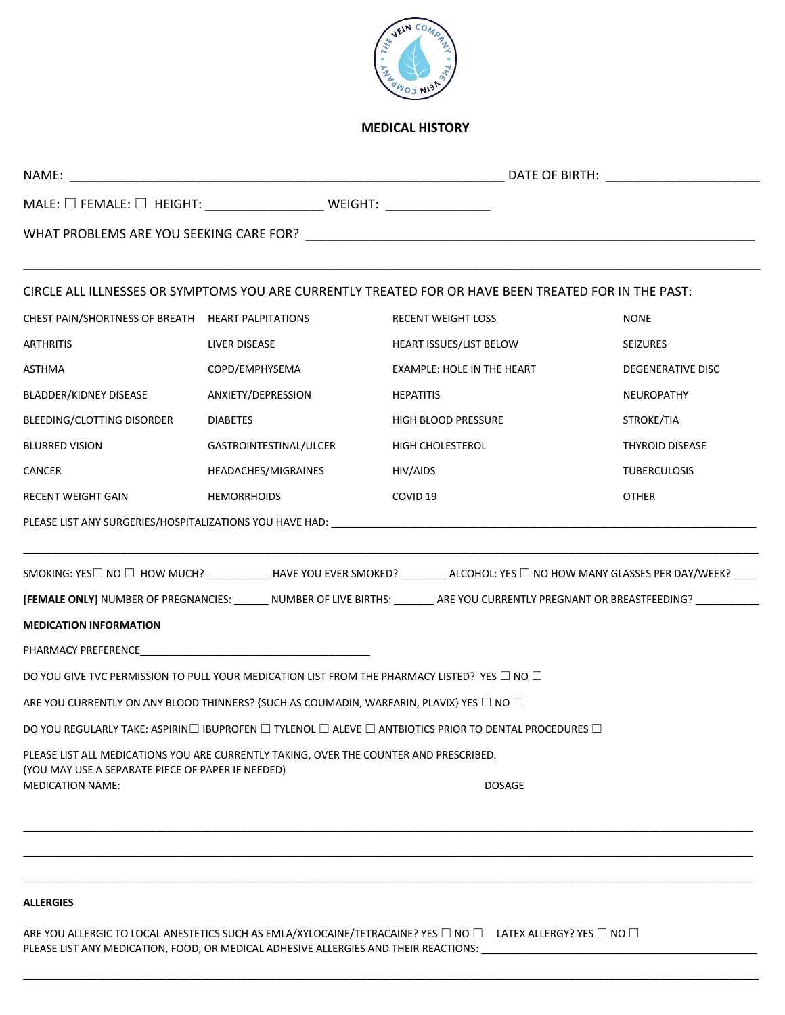

# **MEDICAL HISTORY**

| MALE: □ FEMALE: □ HEIGHT: ___________________________ WEIGHT: __________________                         |                        |                                                                                                                                       |                        |  |
|----------------------------------------------------------------------------------------------------------|------------------------|---------------------------------------------------------------------------------------------------------------------------------------|------------------------|--|
|                                                                                                          |                        |                                                                                                                                       |                        |  |
|                                                                                                          |                        | CIRCLE ALL ILLNESSES OR SYMPTOMS YOU ARE CURRENTLY TREATED FOR OR HAVE BEEN TREATED FOR IN THE PAST:                                  |                        |  |
| CHEST PAIN/SHORTNESS OF BREATH HEART PALPITATIONS                                                        |                        | <b>RECENT WEIGHT LOSS</b>                                                                                                             | <b>NONE</b>            |  |
| <b>ARTHRITIS</b>                                                                                         | LIVER DISEASE          | <b>HEART ISSUES/LIST BELOW</b>                                                                                                        | <b>SEIZURES</b>        |  |
| <b>ASTHMA</b>                                                                                            | COPD/EMPHYSEMA         | <b>EXAMPLE: HOLE IN THE HEART</b>                                                                                                     | DEGENERATIVE DISC      |  |
| BLADDER/KIDNEY DISEASE                                                                                   | ANXIETY/DEPRESSION     | <b>HEPATITIS</b>                                                                                                                      | <b>NEUROPATHY</b>      |  |
| BLEEDING/CLOTTING DISORDER                                                                               | <b>DIABETES</b>        | HIGH BLOOD PRESSURE                                                                                                                   | STROKE/TIA             |  |
| <b>BLURRED VISION</b>                                                                                    | GASTROINTESTINAL/ULCER | HIGH CHOLESTEROL                                                                                                                      | <b>THYROID DISEASE</b> |  |
| <b>CANCER</b>                                                                                            | HEADACHES/MIGRAINES    | HIV/AIDS                                                                                                                              | <b>TUBERCULOSIS</b>    |  |
| <b>RECENT WEIGHT GAIN</b>                                                                                | <b>HEMORRHOIDS</b>     | COVID <sub>19</sub>                                                                                                                   | <b>OTHER</b>           |  |
|                                                                                                          |                        |                                                                                                                                       |                        |  |
|                                                                                                          |                        | SMOKING: YES□ NO □ HOW MUCH? ____________HAVE YOU EVER SMOKED? __________ ALCOHOL: YES □ NO HOW MANY GLASSES PER DAY/WEEK? _____      |                        |  |
|                                                                                                          |                        | [FEMALE ONLY] NUMBER OF PREGNANCIES: _______ NUMBER OF LIVE BIRTHS: _______ ARE YOU CURRENTLY PREGNANT OR BREASTFEEDING? ____________ |                        |  |
| <b>MEDICATION INFORMATION</b>                                                                            |                        |                                                                                                                                       |                        |  |
|                                                                                                          |                        |                                                                                                                                       |                        |  |
|                                                                                                          |                        | DO YOU GIVE TVC PERMISSION TO PULL YOUR MEDICATION LIST FROM THE PHARMACY LISTED? YES $\Box$ NO $\Box$                                |                        |  |
| ARE YOU CURRENTLY ON ANY BLOOD THINNERS? {SUCH AS COUMADIN, WARFARIN, PLAVIX} YES $\square$ NO $\square$ |                        |                                                                                                                                       |                        |  |
| DO YOU REGULARLY TAKE: ASPIRIN□ IBUPROFEN □ TYLENOL □ ALEVE □ ANTBIOTICS PRIOR TO DENTAL PROCEDURES □    |                        |                                                                                                                                       |                        |  |
|                                                                                                          |                        |                                                                                                                                       |                        |  |
| PLEASE LIST ALL MEDICATIONS YOU ARE CURRENTLY TAKING, OVER THE COUNTER AND PRESCRIBED.                   |                        |                                                                                                                                       |                        |  |
| (YOU MAY USE A SEPARATE PIECE OF PAPER IF NEEDED)<br><b>MEDICATION NAME:</b>                             |                        | <b>DOSAGE</b>                                                                                                                         |                        |  |

# **ALLERGIES**

ARE YOU ALLERGIC TO LOCAL ANESTETICS SUCH AS EMLA/XYLOCAINE/TETRACAINE? YES  $\Box$  NO  $\Box$  LATEX ALLERGY? YES  $\Box$  NO  $\Box$ PLEASE LIST ANY MEDICATION, FOOD, OR MEDICAL ADHESIVE ALLERGIES AND THEIR REACTIONS: \_\_\_\_\_\_\_\_\_\_\_\_\_\_\_\_\_\_\_\_\_\_\_\_\_\_\_\_\_\_\_\_\_\_\_\_\_\_\_\_\_\_\_\_\_\_\_\_

\_\_\_\_\_\_\_\_\_\_\_\_\_\_\_\_\_\_\_\_\_\_\_\_\_\_\_\_\_\_\_\_\_\_\_\_\_\_\_\_\_\_\_\_\_\_\_\_\_\_\_\_\_\_\_\_\_\_\_\_\_\_\_\_\_\_\_\_\_\_\_\_\_\_\_\_\_\_\_\_\_\_\_\_\_\_\_\_\_\_\_\_\_\_\_\_\_\_\_\_\_\_\_\_\_\_\_\_\_\_\_\_\_\_\_\_\_\_\_\_\_\_\_\_\_\_\_

\_\_\_\_\_\_\_\_\_\_\_\_\_\_\_\_\_\_\_\_\_\_\_\_\_\_\_\_\_\_\_\_\_\_\_\_\_\_\_\_\_\_\_\_\_\_\_\_\_\_\_\_\_\_\_\_\_\_\_\_\_\_\_\_\_\_\_\_\_\_\_\_\_\_\_\_\_\_\_\_\_\_\_\_\_\_\_\_\_\_\_\_\_\_\_\_\_\_\_\_\_\_\_\_\_\_\_\_\_\_\_\_\_\_\_\_\_\_\_\_\_\_\_\_\_\_\_\_